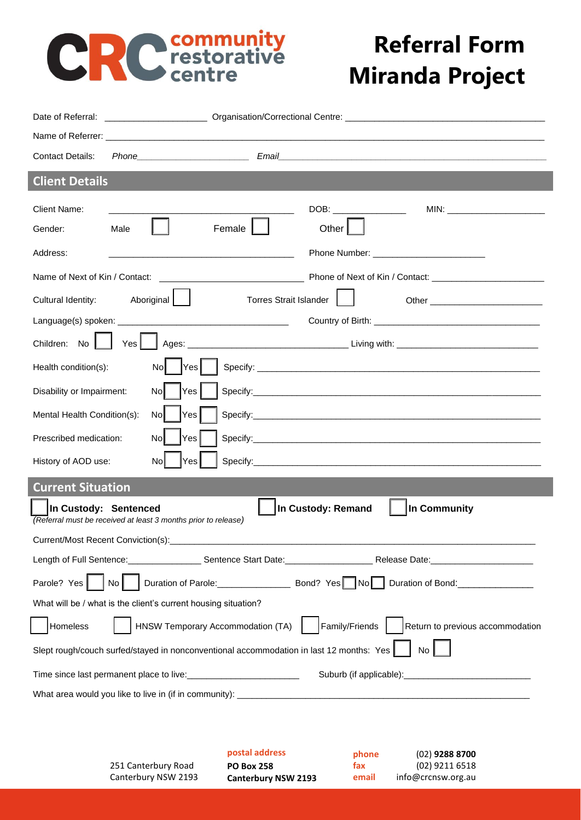# **CRC** restorative

# **Referral Form Miranda Project**

**fax** (02) 9211 6518 **email** info@crcnsw.org.au

| <b>Contact Details:</b>                                                                                                       |  |  |  |  |
|-------------------------------------------------------------------------------------------------------------------------------|--|--|--|--|
| <b>Client Details</b>                                                                                                         |  |  |  |  |
| <b>Client Name:</b><br>MIN: _________________________                                                                         |  |  |  |  |
| Other  <br>Female<br>Male<br>Gender:                                                                                          |  |  |  |  |
| Address:<br><u> 1989 - Johann John Harry Hermann (f. 1989)</u>                                                                |  |  |  |  |
| Name of Next of Kin / Contact:                                                                                                |  |  |  |  |
| Aboriginal  <br>Cultural Identity:<br><b>Torres Strait Islander</b>                                                           |  |  |  |  |
|                                                                                                                               |  |  |  |  |
| Yes <sub>l</sub><br>Children: No                                                                                              |  |  |  |  |
| Yes<br>Health condition(s):<br>Nol                                                                                            |  |  |  |  |
| Disability or Impairment:<br><b>No</b><br>Yes                                                                                 |  |  |  |  |
| Mental Health Condition(s):<br>No<br>Yes                                                                                      |  |  |  |  |
| Prescribed medication:<br>No<br>Yes                                                                                           |  |  |  |  |
| No<br>History of AOD use:<br>Yes                                                                                              |  |  |  |  |
| <b>Current Situation</b>                                                                                                      |  |  |  |  |
| In Custody: Remand<br>In Community<br>In Custody: Sentenced<br>(Referral must be received at least 3 months prior to release) |  |  |  |  |
|                                                                                                                               |  |  |  |  |
|                                                                                                                               |  |  |  |  |
| Parole? Yes<br>No I                                                                                                           |  |  |  |  |
| What will be / what is the client's current housing situation?                                                                |  |  |  |  |
| HNSW Temporary Accommodation (TA)<br>Family/Friends<br>Return to previous accommodation<br>Homeless                           |  |  |  |  |
| Slept rough/couch surfed/stayed in nonconventional accommodation in last 12 months: Yes<br><b>No</b>                          |  |  |  |  |
|                                                                                                                               |  |  |  |  |
|                                                                                                                               |  |  |  |  |
|                                                                                                                               |  |  |  |  |
| postal address<br>$(02)$ 9288 8700<br>phone                                                                                   |  |  |  |  |

**PO Box 258** 

251 Canterbury Road Canterbury NSW 2193

**Canterbury NSW 2193**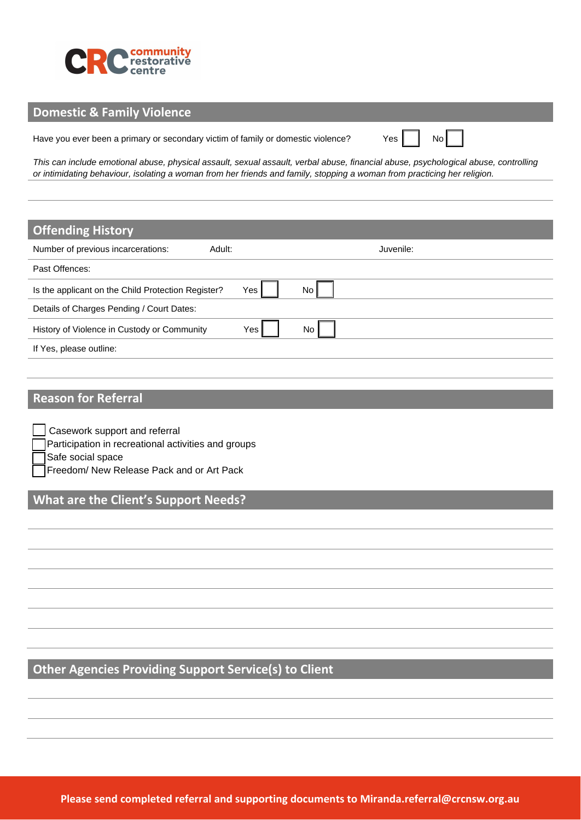

#### **Domestic & Family Violence**

Have you ever been a primary or secondary victim of family or domestic violence?  $Yes \mid \cdot$  No

*This can include emotional abuse, physical assault, sexual assault, verbal abuse, financial abuse, psychological abuse, controlling or intimidating behaviour, isolating a woman from her friends and family, stopping a woman from practicing her religion.*

| <b>Offending History</b>                           |     |     |           |
|----------------------------------------------------|-----|-----|-----------|
| Number of previous incarcerations:<br>Adult:       |     |     | Juvenile: |
| Past Offences:                                     |     |     |           |
| Is the applicant on the Child Protection Register? | Yes | No  |           |
| Details of Charges Pending / Court Dates:          |     |     |           |
| History of Violence in Custody or Community        | Yes | No. |           |
| If Yes, please outline:                            |     |     |           |

### **Reason for Referral**

Casework support and referral Participation in recreational activities and groups

Safe social space

Freedom/ New Release Pack and or Art Pack

## **What are the Client's Support Needs?**

**Other Agencies Providing Support Service(s) to Client**